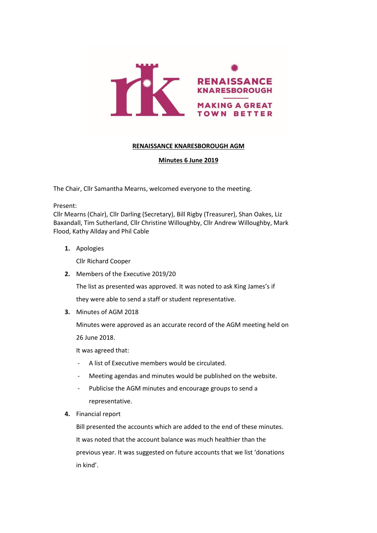

#### **RENAISSANCE KNARESBOROUGH AGM**

#### **Minutes 6 June 2019**

The Chair, Cllr Samantha Mearns, welcomed everyone to the meeting.

Present:

Cllr Mearns (Chair), Cllr Darling (Secretary), Bill Rigby (Treasurer), Shan Oakes, Liz Baxandall, Tim Sutherland, Cllr Christine Willoughby, Cllr Andrew Willoughby, Mark Flood, Kathy Allday and Phil Cable

**1.** Apologies

Cllr Richard Cooper

**2.** Members of the Executive 2019/20

The list as presented was approved. It was noted to ask King James's if

they were able to send a staff or student representative.

**3.** Minutes of AGM 2018

Minutes were approved as an accurate record of the AGM meeting held on

26 June 2018.

It was agreed that:

- A list of Executive members would be circulated.
- Meeting agendas and minutes would be published on the website.
- Publicise the AGM minutes and encourage groups to send a representative.
- **4.** Financial report

Bill presented the accounts which are added to the end of these minutes. It was noted that the account balance was much healthier than the previous year. It was suggested on future accounts that we list 'donations in kind'.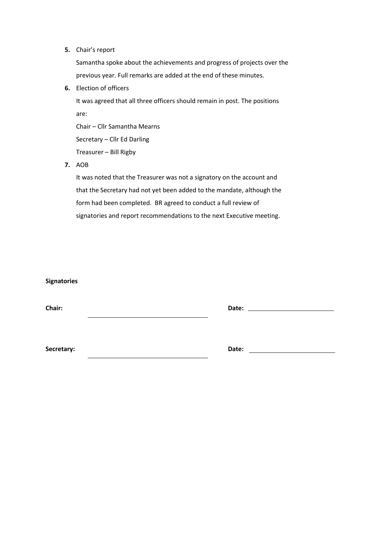**5.** Chair's report

Samantha spoke about the achievements and progress of projects over the previous year. Full remarks are added at the end of these minutes.

**6.** Election of officers

It was agreed that all three officers should remain in post. The positions are:

Chair – Cllr Samantha Mearns Secretary – Cllr Ed Darling Treasurer – Bill Rigby

**7.** AOB

It was noted that the Treasurer was not a signatory on the account and that the Secretary had not yet been added to the mandate, although the form had been completed. BR agreed to conduct a full review of signatories and report recommendations to the next Executive meeting.

| <b>Signatories</b> |                                 |  |
|--------------------|---------------------------------|--|
| Chair:             | Date: _________________________ |  |
| Secretary:         | Date:                           |  |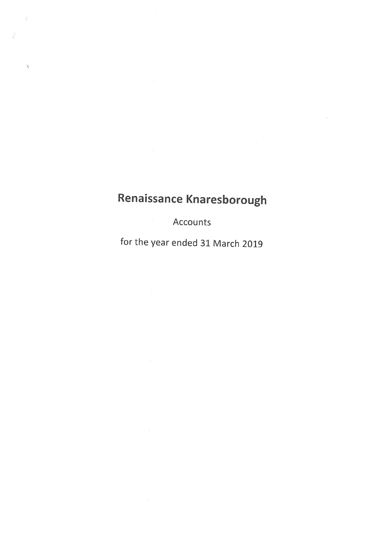$\ddot{\varepsilon}$ 

Í

Accounts

for the year ended 31 March 2019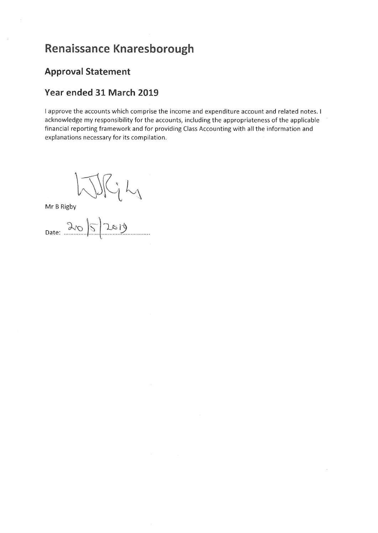#### **Approval Statement**

#### Year ended 31 March 2019

I approve the accounts which comprise the income and expenditure account and related notes. I acknowledge my responsibility for the accounts, including the appropriateness of the applicable financial reporting framework and for providing Class Accounting with all the information and explanations necessary for its compilation.

Lj

Mr B Rigby<br>Date:  $20 \times 10^{-10}$ <br>Date:  $20 \times 10^{-10}$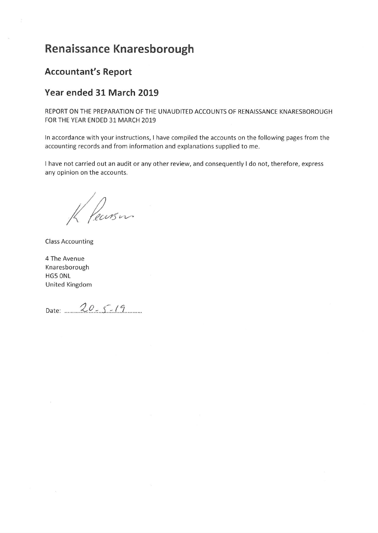#### **Accountant's Report**

#### Year ended 31 March 2019

REPORT ON THE PREPARATION OF THE UNAUDITED ACCOUNTS OF RENAISSANCE KNARESBOROUGH FOR THE YEAR ENDED 31 MARCH 2019

In accordance with your instructions, I have compiled the accounts on the following pages from the accounting records and from information and explanations supplied to me.

I have not carried out an audit or any other review, and consequently I do not, therefore, express any opinion on the accounts.

K Pearson

**Class Accounting** 

4 The Avenue Knaresborough HG5 ONL United Kingdom

Date: 20 - 5 - 19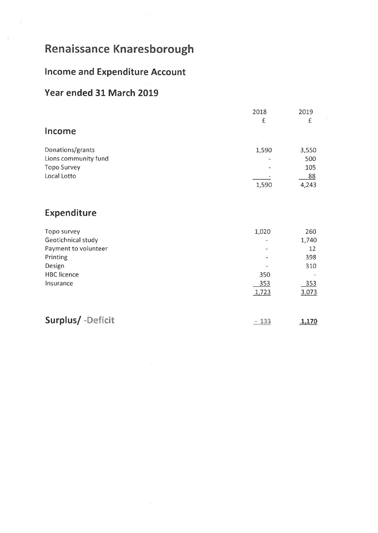## **Income and Expenditure Account**

### Year ended 31 March 2019

|                                                                                                                    | 2018                         | 2019                                             |
|--------------------------------------------------------------------------------------------------------------------|------------------------------|--------------------------------------------------|
|                                                                                                                    | £                            | £                                                |
| Income                                                                                                             |                              |                                                  |
| Donations/grants<br>Lions community fund<br><b>Topo Survey</b><br>Local Lotto                                      | 1,590<br>1,590               | 3,550<br>500<br>105<br>88<br>4,243               |
| Expenditure                                                                                                        |                              |                                                  |
| Topo survey<br>Geotichnical study<br>Payment to volunteer<br>Printing<br>Design<br><b>HBC</b> licence<br>Insurance | 1,020<br>350<br>353<br>1,723 | 260<br>1,740<br>12<br>398<br>310<br>353<br>3,073 |
| Surplus/ -Deficit                                                                                                  | $-133$                       | 1,170                                            |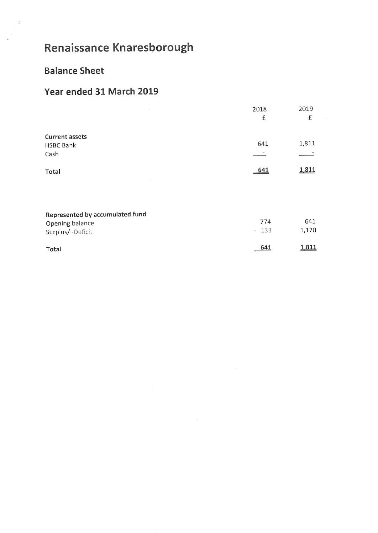## **Balance Sheet**

### Year ended 31 March 2019

| $\mathbb{S}^3_L$      | 2018 | 2019  |
|-----------------------|------|-------|
|                       | £    | £     |
| <b>Current assets</b> |      |       |
| <b>HSBC Bank</b>      | 641  | 1,811 |
| Cash                  |      |       |
| Total                 | 641  | 1,811 |
|                       |      |       |
|                       |      |       |
|                       |      |       |

| Represented by accumulated fund |        |       |
|---------------------------------|--------|-------|
| Opening balance                 | 774    | 641   |
| Surplus/-Deficit                | $-133$ | 1.170 |
| Total                           | 641    | 1,811 |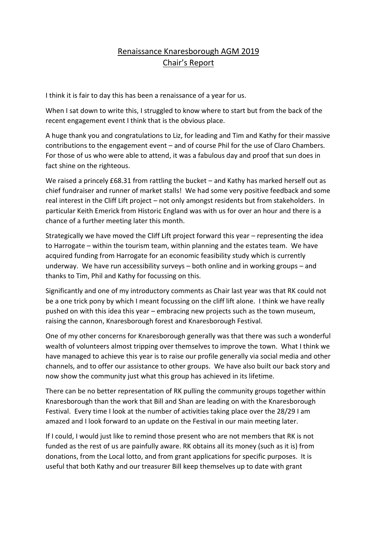#### Renaissance Knaresborough AGM 2019 Chair's Report

I think it is fair to day this has been a renaissance of a year for us.

When I sat down to write this, I struggled to know where to start but from the back of the recent engagement event I think that is the obvious place.

A huge thank you and congratulations to Liz, for leading and Tim and Kathy for their massive contributions to the engagement event – and of course Phil for the use of Claro Chambers. For those of us who were able to attend, it was a fabulous day and proof that sun does in fact shine on the righteous.

We raised a princely £68.31 from rattling the bucket – and Kathy has marked herself out as chief fundraiser and runner of market stalls! We had some very positive feedback and some real interest in the Cliff Lift project – not only amongst residents but from stakeholders. In particular Keith Emerick from Historic England was with us for over an hour and there is a chance of a further meeting later this month.

Strategically we have moved the Cliff Lift project forward this year – representing the idea to Harrogate – within the tourism team, within planning and the estates team. We have acquired funding from Harrogate for an economic feasibility study which is currently underway. We have run accessibility surveys – both online and in working groups – and thanks to Tim, Phil and Kathy for focussing on this.

Significantly and one of my introductory comments as Chair last year was that RK could not be a one trick pony by which I meant focussing on the cliff lift alone. I think we have really pushed on with this idea this year – embracing new projects such as the town museum, raising the cannon, Knaresborough forest and Knaresborough Festival.

One of my other concerns for Knaresborough generally was that there was such a wonderful wealth of volunteers almost tripping over themselves to improve the town. What I think we have managed to achieve this year is to raise our profile generally via social media and other channels, and to offer our assistance to other groups. We have also built our back story and now show the community just what this group has achieved in its lifetime.

There can be no better representation of RK pulling the community groups together within Knaresborough than the work that Bill and Shan are leading on with the Knaresborough Festival. Every time I look at the number of activities taking place over the 28/29 I am amazed and I look forward to an update on the Festival in our main meeting later.

If I could, I would just like to remind those present who are not members that RK is not funded as the rest of us are painfully aware. RK obtains all its money (such as it is) from donations, from the Local lotto, and from grant applications for specific purposes. It is useful that both Kathy and our treasurer Bill keep themselves up to date with grant